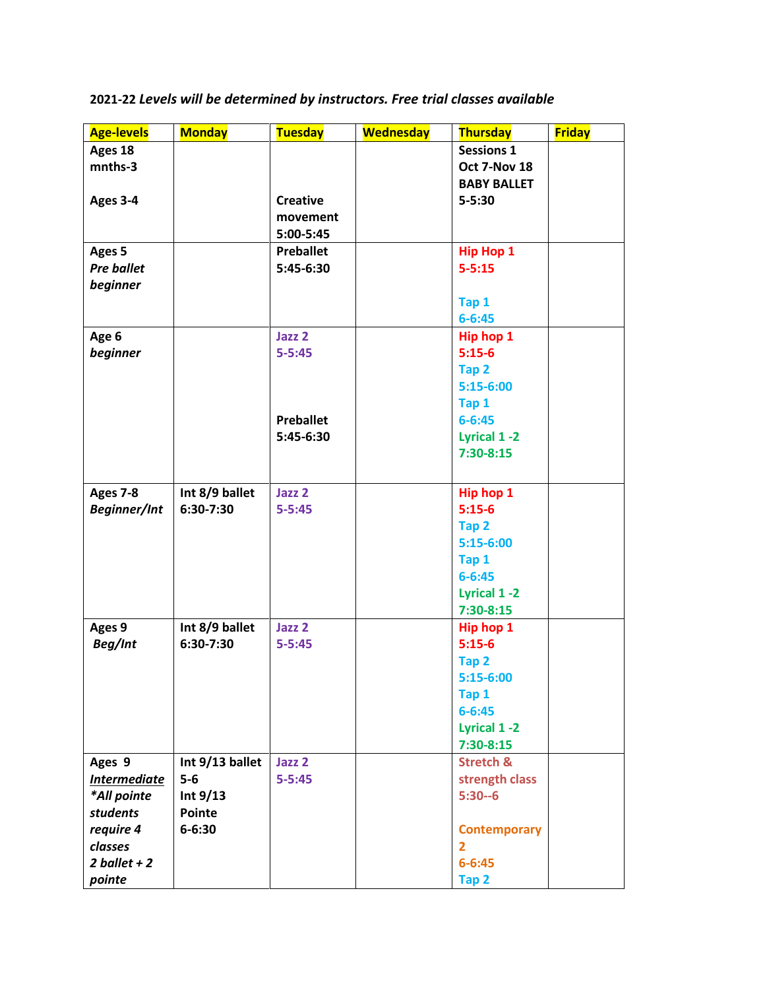| <b>Age-levels</b>   | <b>Monday</b>   | <b>Tuesday</b>   | <b>Wednesday</b> | <b>Thursday</b>      | <b>Friday</b> |
|---------------------|-----------------|------------------|------------------|----------------------|---------------|
| Ages 18             |                 |                  |                  | <b>Sessions 1</b>    |               |
| mnths-3             |                 |                  |                  | Oct 7-Nov 18         |               |
|                     |                 |                  |                  | <b>BABY BALLET</b>   |               |
| Ages 3-4            |                 | <b>Creative</b>  |                  | $5 - 5:30$           |               |
|                     |                 | movement         |                  |                      |               |
|                     |                 | 5:00-5:45        |                  |                      |               |
| Ages 5              |                 | <b>Preballet</b> |                  | <b>Hip Hop 1</b>     |               |
| <b>Pre ballet</b>   |                 | 5:45-6:30        |                  | $5 - 5:15$           |               |
| beginner            |                 |                  |                  |                      |               |
|                     |                 |                  |                  | Tap 1                |               |
|                     |                 |                  |                  | $6 - 6:45$           |               |
| Age 6               |                 | Jazz 2           |                  | Hip hop 1            |               |
| beginner            |                 | $5 - 5:45$       |                  | $5:15-6$             |               |
|                     |                 |                  |                  | Tap 2                |               |
|                     |                 |                  |                  | $5:15-6:00$          |               |
|                     |                 |                  |                  | Tap 1                |               |
|                     |                 | <b>Preballet</b> |                  | $6 - 6:45$           |               |
|                     |                 | 5:45-6:30        |                  | <b>Lyrical 1-2</b>   |               |
|                     |                 |                  |                  | $7:30-8:15$          |               |
|                     |                 |                  |                  |                      |               |
| <b>Ages 7-8</b>     | Int 8/9 ballet  | Jazz 2           |                  | Hip hop 1            |               |
| <b>Beginner/Int</b> | 6:30-7:30       | $5 - 5:45$       |                  | $5:15-6$             |               |
|                     |                 |                  |                  | Tap 2                |               |
|                     |                 |                  |                  | $5:15-6:00$          |               |
|                     |                 |                  |                  | Tap 1                |               |
|                     |                 |                  |                  | $6 - 6:45$           |               |
|                     |                 |                  |                  | Lyrical 1-2          |               |
|                     |                 |                  |                  | $7:30-8:15$          |               |
| Ages 9              | Int 8/9 ballet  | Jazz 2           |                  | Hip hop 1            |               |
| Beg/Int             | 6:30-7:30       | $5 - 5:45$       |                  | $5:15-6$             |               |
|                     |                 |                  |                  | Tap 2                |               |
|                     |                 |                  |                  | $5:15-6:00$          |               |
|                     |                 |                  |                  | Tap 1                |               |
|                     |                 |                  |                  | $6 - 6:45$           |               |
|                     |                 |                  |                  | <b>Lyrical 1-2</b>   |               |
|                     |                 |                  |                  | $7:30-8:15$          |               |
| Ages 9              | Int 9/13 ballet | Jazz 2           |                  | <b>Stretch &amp;</b> |               |
| <b>Intermediate</b> | $5-6$           | $5 - 5:45$       |                  | strength class       |               |
| *All pointe         | Int $9/13$      |                  |                  | $5:30 - 6$           |               |
| students            | Pointe          |                  |                  |                      |               |
| require 4           | $6 - 6:30$      |                  |                  | <b>Contemporary</b>  |               |
| classes             |                 |                  |                  | $\overline{2}$       |               |
| 2 ballet $+2$       |                 |                  |                  | $6 - 6:45$           |               |
| pointe              |                 |                  |                  | Tap 2                |               |

**2021-22** *Levels will be determined by instructors. Free trial classes available*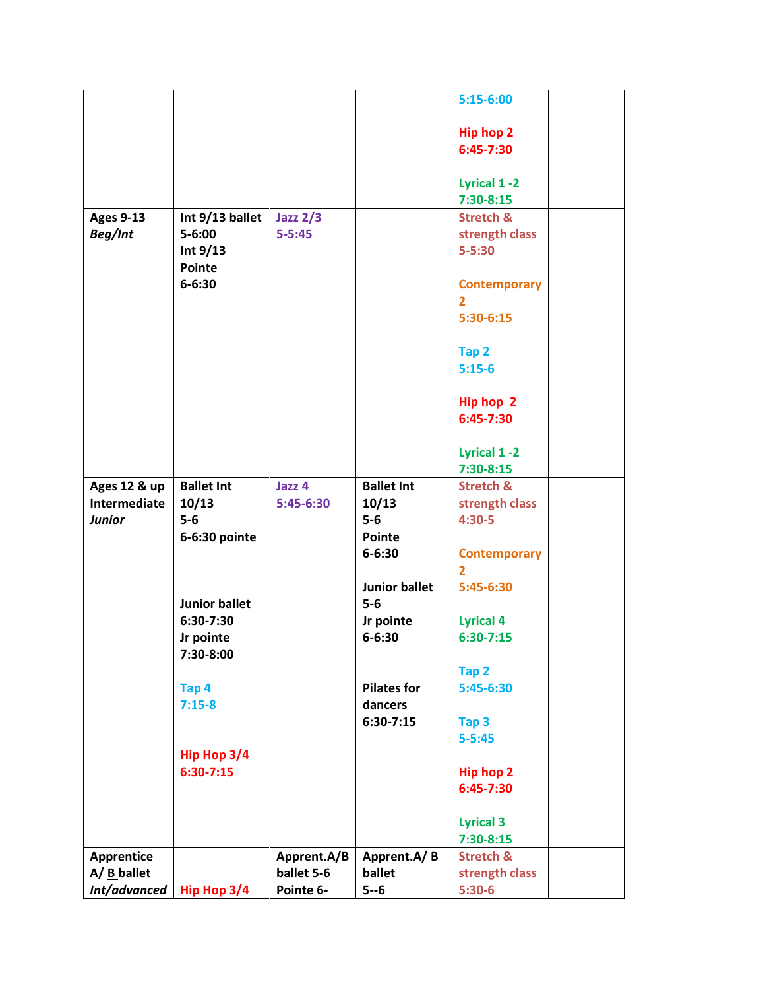|                  |                      |             |                        | $5:15-6:00$          |
|------------------|----------------------|-------------|------------------------|----------------------|
|                  |                      |             |                        |                      |
|                  |                      |             |                        | <b>Hip hop 2</b>     |
|                  |                      |             |                        | 6:45-7:30            |
|                  |                      |             |                        |                      |
|                  |                      |             |                        | Lyrical 1-2          |
|                  |                      |             |                        | $7:30-8:15$          |
| <b>Ages 9-13</b> | Int 9/13 ballet      | Jazz $2/3$  |                        | <b>Stretch &amp;</b> |
|                  | $5 - 6:00$           | $5 - 5:45$  |                        |                      |
| Beg/Int          |                      |             |                        | strength class       |
|                  | Int $9/13$           |             |                        | $5 - 5:30$           |
|                  | <b>Pointe</b>        |             |                        |                      |
|                  | $6 - 6:30$           |             |                        | <b>Contemporary</b>  |
|                  |                      |             |                        | $\mathbf{2}$         |
|                  |                      |             |                        | $5:30-6:15$          |
|                  |                      |             |                        |                      |
|                  |                      |             |                        | Tap 2                |
|                  |                      |             |                        | $5:15-6$             |
|                  |                      |             |                        |                      |
|                  |                      |             |                        | Hip hop 2            |
|                  |                      |             |                        | 6:45-7:30            |
|                  |                      |             |                        |                      |
|                  |                      |             |                        | Lyrical 1-2          |
|                  |                      |             |                        | $7:30-8:15$          |
| Ages 12 & up     | <b>Ballet Int</b>    | Jazz 4      | <b>Ballet Int</b>      | <b>Stretch &amp;</b> |
| Intermediate     | 10/13                | 5:45-6:30   | 10/13                  | strength class       |
| <b>Junior</b>    | $5-6$                |             | $5-6$                  | $4:30-5$             |
|                  | 6-6:30 pointe        |             | Pointe                 |                      |
|                  |                      |             | $6 - 6:30$             | <b>Contemporary</b>  |
|                  |                      |             |                        | $\overline{2}$       |
|                  |                      |             | <b>Junior ballet</b>   | 5:45-6:30            |
|                  | <b>Junior ballet</b> |             | $5-6$                  |                      |
|                  | 6:30-7:30            |             | Jr pointe              | <b>Lyrical 4</b>     |
|                  | Jr pointe            |             | $6 - 6:30$             | $6:30-7:15$          |
|                  | 7:30-8:00            |             |                        |                      |
|                  |                      |             |                        | Tap 2                |
|                  |                      |             | <b>Pilates for</b>     | 5:45-6:30            |
|                  | Tap 4                |             |                        |                      |
|                  | $7:15-8$             |             | dancers<br>$6:30-7:15$ |                      |
|                  |                      |             |                        | Tap <sub>3</sub>     |
|                  |                      |             |                        | $5 - 5:45$           |
|                  | Hip Hop 3/4          |             |                        |                      |
|                  | $6:30-7:15$          |             |                        | <b>Hip hop 2</b>     |
|                  |                      |             |                        | 6:45-7:30            |
|                  |                      |             |                        |                      |
|                  |                      |             |                        | <b>Lyrical 3</b>     |
|                  |                      |             |                        | $7:30-8:15$          |
| Apprentice       |                      | Apprent.A/B | Apprent.A/B            | <b>Stretch &amp;</b> |
| $A / B$ ballet   |                      | ballet 5-6  | ballet                 | strength class       |
| Int/advanced     | Hip Hop 3/4          | Pointe 6-   | $5 - 6$                | $5:30-6$             |